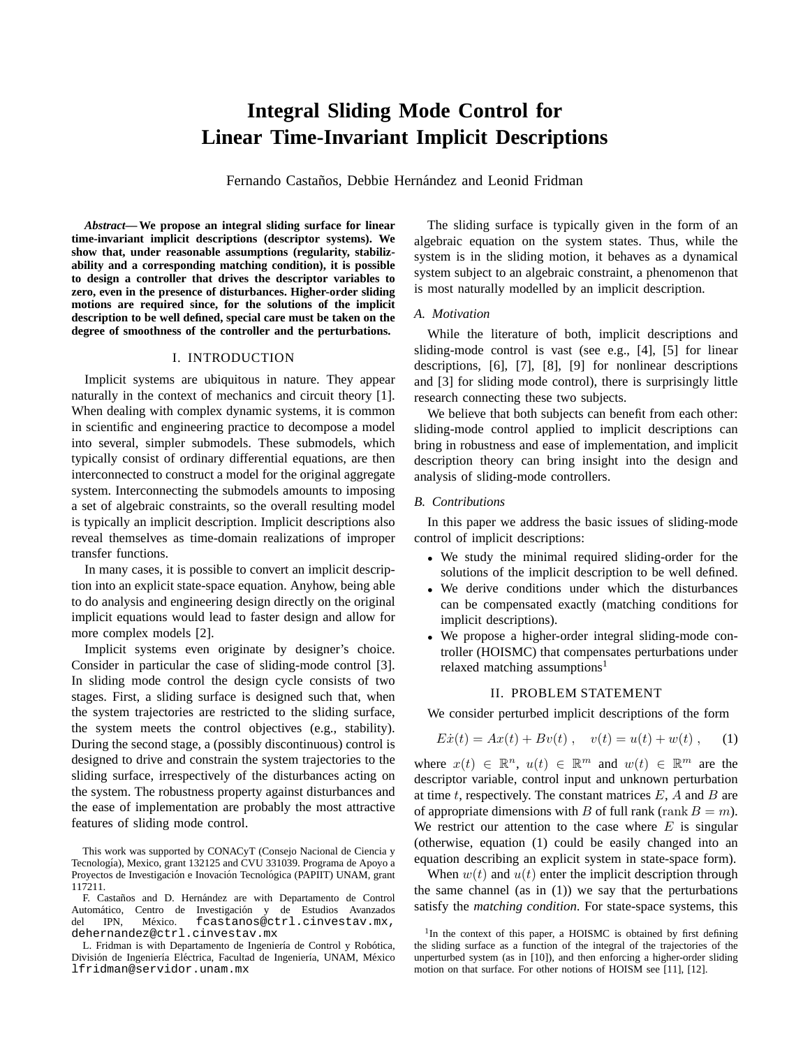# **Integral Sliding Mode Control for Linear Time-Invariant Implicit Descriptions**

Fernando Castaños, Debbie Hernández and Leonid Fridman

*Abstract***— We propose an integral sliding surface for linear time-invariant implicit descriptions (descriptor systems). We show that, under reasonable assumptions (regularity, stabilizability and a corresponding matching condition), it is possible to design a controller that drives the descriptor variables to zero, even in the presence of disturbances. Higher-order sliding motions are required since, for the solutions of the implicit description to be well defined, special care must be taken on the degree of smoothness of the controller and the perturbations.**

## I. INTRODUCTION

Implicit systems are ubiquitous in nature. They appear naturally in the context of mechanics and circuit theory [1]. When dealing with complex dynamic systems, it is common in scientific and engineering practice to decompose a model into several, simpler submodels. These submodels, which typically consist of ordinary differential equations, are then interconnected to construct a model for the original aggregate system. Interconnecting the submodels amounts to imposing a set of algebraic constraints, so the overall resulting model is typically an implicit description. Implicit descriptions also reveal themselves as time-domain realizations of improper transfer functions.

In many cases, it is possible to convert an implicit description into an explicit state-space equation. Anyhow, being able to do analysis and engineering design directly on the original implicit equations would lead to faster design and allow for more complex models [2].

Implicit systems even originate by designer's choice. Consider in particular the case of sliding-mode control [3]. In sliding mode control the design cycle consists of two stages. First, a sliding surface is designed such that, when the system trajectories are restricted to the sliding surface, the system meets the control objectives (e.g., stability). During the second stage, a (possibly discontinuous) control is designed to drive and constrain the system trajectories to the sliding surface, irrespectively of the disturbances acting on the system. The robustness property against disturbances and the ease of implementation are probably the most attractive features of sliding mode control.

The sliding surface is typically given in the form of an algebraic equation on the system states. Thus, while the system is in the sliding motion, it behaves as a dynamical system subject to an algebraic constraint, a phenomenon that is most naturally modelled by an implicit description.

## *A. Motivation*

While the literature of both, implicit descriptions and sliding-mode control is vast (see e.g., [4], [5] for linear descriptions, [6], [7], [8], [9] for nonlinear descriptions and [3] for sliding mode control), there is surprisingly little research connecting these two subjects.

We believe that both subjects can benefit from each other: sliding-mode control applied to implicit descriptions can bring in robustness and ease of implementation, and implicit description theory can bring insight into the design and analysis of sliding-mode controllers.

#### *B. Contributions*

In this paper we address the basic issues of sliding-mode control of implicit descriptions:

- We study the minimal required sliding-order for the solutions of the implicit description to be well defined.
- We derive conditions under which the disturbances can be compensated exactly (matching conditions for implicit descriptions).
- We propose a higher-order integral sliding-mode controller (HOISMC) that compensates perturbations under relaxed matching assumptions<sup>1</sup>

## II. PROBLEM STATEMENT

We consider perturbed implicit descriptions of the form

$$
E\dot{x}(t) = Ax(t) + Bv(t), \quad v(t) = u(t) + w(t), \quad (1)
$$

where  $x(t) \in \mathbb{R}^n$ ,  $u(t) \in \mathbb{R}^m$  and  $w(t) \in \mathbb{R}^m$  are the descriptor variable, control input and unknown perturbation at time  $t$ , respectively. The constant matrices  $E$ ,  $A$  and  $B$  are of appropriate dimensions with B of full rank (rank  $B = m$ ). We restrict our attention to the case where  $E$  is singular (otherwise, equation (1) could be easily changed into an equation describing an explicit system in state-space form).

When  $w(t)$  and  $u(t)$  enter the implicit description through the same channel (as in  $(1)$ ) we say that the perturbations satisfy the *matching condition*. For state-space systems, this

This work was supported by CONACyT (Consejo Nacional de Ciencia y Tecnología), Mexico, grant 132125 and CVU 331039. Programa de Apoyo a Proyectos de Investigación e Inovación Tecnológica (PAPIIT) UNAM, grant 117211.

F. Castaños and D. Hernández are with Departamento de Control Automático, Centro de Investigación y de Estudios Avanzados<br>del IPN, México. ficastanos@ctrl.cinvestav.mx, del IPN, México. fcastanos@ctrl.cinvestav.mx, dehernandez@ctrl.cinvestav.mx

L. Fridman is with Departamento de Ingeniería de Control y Robótica, División de Ingeniería Eléctrica, Facultad de Ingeniería, UNAM, México lfridman@servidor.unam.mx

<sup>&</sup>lt;sup>1</sup>In the context of this paper, a HOISMC is obtained by first defining the sliding surface as a function of the integral of the trajectories of the unperturbed system (as in [10]), and then enforcing a higher-order sliding motion on that surface. For other notions of HOISM see [11], [12].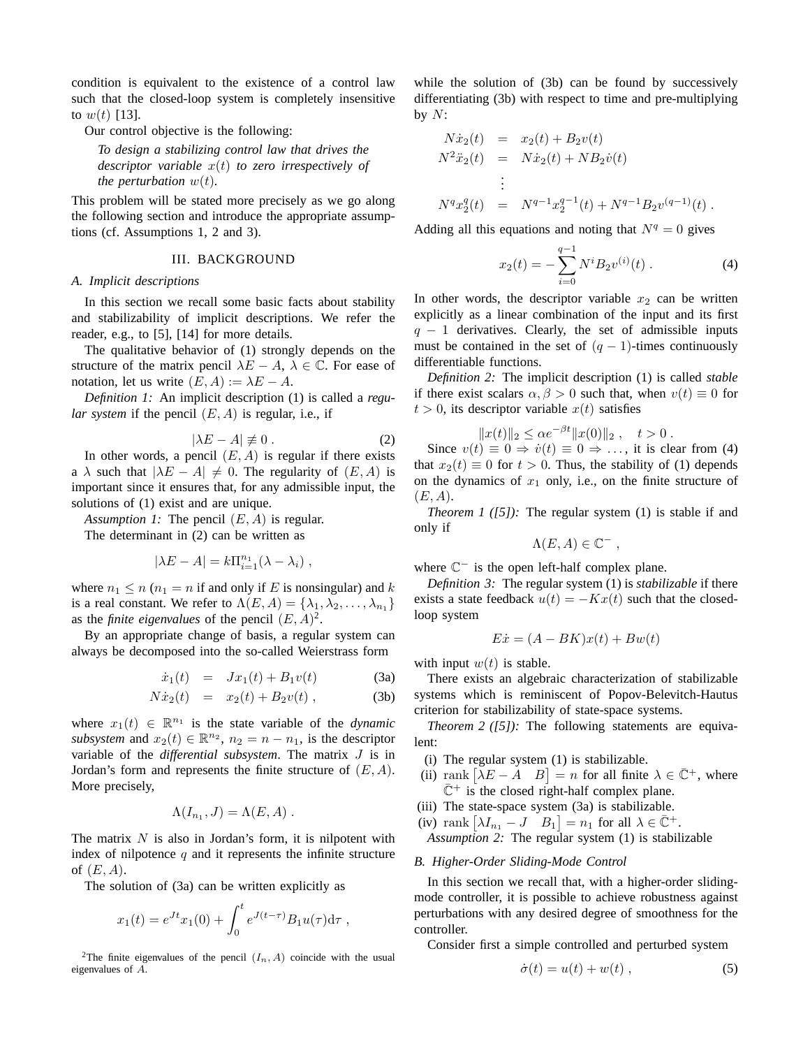condition is equivalent to the existence of a control law such that the closed-loop system is completely insensitive to  $w(t)$  [13].

Our control objective is the following:

*To design a stabilizing control law that drives the descriptor variable* x(t) *to zero irrespectively of the perturbation*  $w(t)$ *.* 

This problem will be stated more precisely as we go along the following section and introduce the appropriate assumptions (cf. Assumptions 1, 2 and 3).

## III. BACKGROUND

### *A. Implicit descriptions*

In this section we recall some basic facts about stability and stabilizability of implicit descriptions. We refer the reader, e.g., to [5], [14] for more details.

The qualitative behavior of (1) strongly depends on the structure of the matrix pencil  $\lambda E - A$ ,  $\lambda \in \mathbb{C}$ . For ease of notation, let us write  $(E, A) := \lambda E - A$ .

*Definition 1:* An implicit description (1) is called a *regular system* if the pencil  $(E, A)$  is regular, i.e., if

$$
|\lambda E - A| \neq 0. \tag{2}
$$

In other words, a pencil  $(E, A)$  is regular if there exists a  $\lambda$  such that  $|\lambda E - A| \neq 0$ . The regularity of  $(E, A)$  is important since it ensures that, for any admissible input, the solutions of (1) exist and are unique.

*Assumption 1:* The pencil (E, A) is regular.

The determinant in (2) can be written as

$$
|\lambda E - A| = k \Pi_{i=1}^{n_1} (\lambda - \lambda_i) ,
$$

where  $n_1 \le n$  ( $n_1 = n$  if and only if E is nonsingular) and k is a real constant. We refer to  $\Lambda(E, A) = {\lambda_1, \lambda_2, \ldots, \lambda_{n_1}}$ as the *finite eigenvalues* of the pencil  $(E, A)^2$ .

By an appropriate change of basis, a regular system can always be decomposed into the so-called Weierstrass form

$$
\dot{x}_1(t) = Jx_1(t) + B_1v(t) \tag{3a}
$$

$$
N\dot{x}_2(t) = x_2(t) + B_2v(t) , \qquad (3b)
$$

where  $x_1(t) \in \mathbb{R}^{n_1}$  is the state variable of the *dynamic subsystem* and  $x_2(t) \in \mathbb{R}^{n_2}$ ,  $n_2 = n - n_1$ , is the descriptor variable of the *differential subsystem*. The matrix J is in Jordan's form and represents the finite structure of  $(E, A)$ . More precisely,

$$
\Lambda(I_{n_1},J)=\Lambda(E,A)\ .
$$

The matrix  $N$  is also in Jordan's form, it is nilpotent with index of nilpotence  $q$  and it represents the infinite structure of  $(E, A)$ .

The solution of (3a) can be written explicitly as

$$
x_1(t) = e^{Jt} x_1(0) + \int_0^t e^{J(t-\tau)} B_1 u(\tau) d\tau ,
$$

<sup>2</sup>The finite eigenvalues of the pencil  $(I_n, A)$  coincide with the usual eigenvalues of A.

while the solution of (3b) can be found by successively differentiating (3b) with respect to time and pre-multiplying by  $N$ :

$$
N\dot{x}_2(t) = x_2(t) + B_2v(t)
$$
  
\n
$$
N^2\ddot{x}_2(t) = N\dot{x}_2(t) + NB_2\dot{v}(t)
$$
  
\n:  
\n
$$
N^qx_2^q(t) = N^{q-1}x_2^{q-1}(t) + N^{q-1}B_2v^{(q-1)}(t).
$$

Adding all this equations and noting that  $N<sup>q</sup> = 0$  gives

$$
x_2(t) = -\sum_{i=0}^{q-1} N^i B_2 v^{(i)}(t) . \tag{4}
$$

In other words, the descriptor variable  $x_2$  can be written explicitly as a linear combination of the input and its first  $q - 1$  derivatives. Clearly, the set of admissible inputs must be contained in the set of  $(q - 1)$ -times continuously differentiable functions.

*Definition 2:* The implicit description (1) is called *stable* if there exist scalars  $\alpha, \beta > 0$  such that, when  $v(t) \equiv 0$  for  $t > 0$ , its descriptor variable  $x(t)$  satisfies

$$
||x(t)||_2 \leq \alpha e^{-\beta t} ||x(0)||_2 , \quad t > 0 .
$$

Since  $v(t) \equiv 0 \Rightarrow \dot{v}(t) \equiv 0 \Rightarrow \dots$ , it is clear from (4) that  $x_2(t) \equiv 0$  for  $t > 0$ . Thus, the stability of (1) depends on the dynamics of  $x_1$  only, i.e., on the finite structure of  $(E, A)$ .

*Theorem 1 ([5]):* The regular system (1) is stable if and only if

$$
\Lambda(E, A) \in \mathbb{C}^- ,
$$

where  $\mathbb{C}^-$  is the open left-half complex plane.

*Definition 3:* The regular system (1) is *stabilizable* if there exists a state feedback  $u(t) = -Kx(t)$  such that the closedloop system

$$
E\dot{x} = (A - BK)x(t) + Bw(t)
$$

with input  $w(t)$  is stable.

There exists an algebraic characterization of stabilizable systems which is reminiscent of Popov-Belevitch-Hautus criterion for stabilizability of state-space systems.

*Theorem 2 ([5]):* The following statements are equivalent:

- (i) The regular system (1) is stabilizable.
- (ii) rank  $\left[\lambda E A \quad B\right] = n$  for all finite  $\lambda \in \overline{\mathbb{C}}^+$ , where  $\mathbb{C}^+$  is the closed right-half complex plane.
- (iii) The state-space system (3a) is stabilizable.
- (iv) rank  $\left[\lambda I_{n_1} J \right] = n_1$  for all  $\lambda \in \overline{\mathbb{C}}^+$ .

*Assumption 2:* The regular system (1) is stabilizable

#### *B. Higher-Order Sliding-Mode Control*

In this section we recall that, with a higher-order slidingmode controller, it is possible to achieve robustness against perturbations with any desired degree of smoothness for the controller.

Consider first a simple controlled and perturbed system

$$
\dot{\sigma}(t) = u(t) + w(t) , \qquad (5)
$$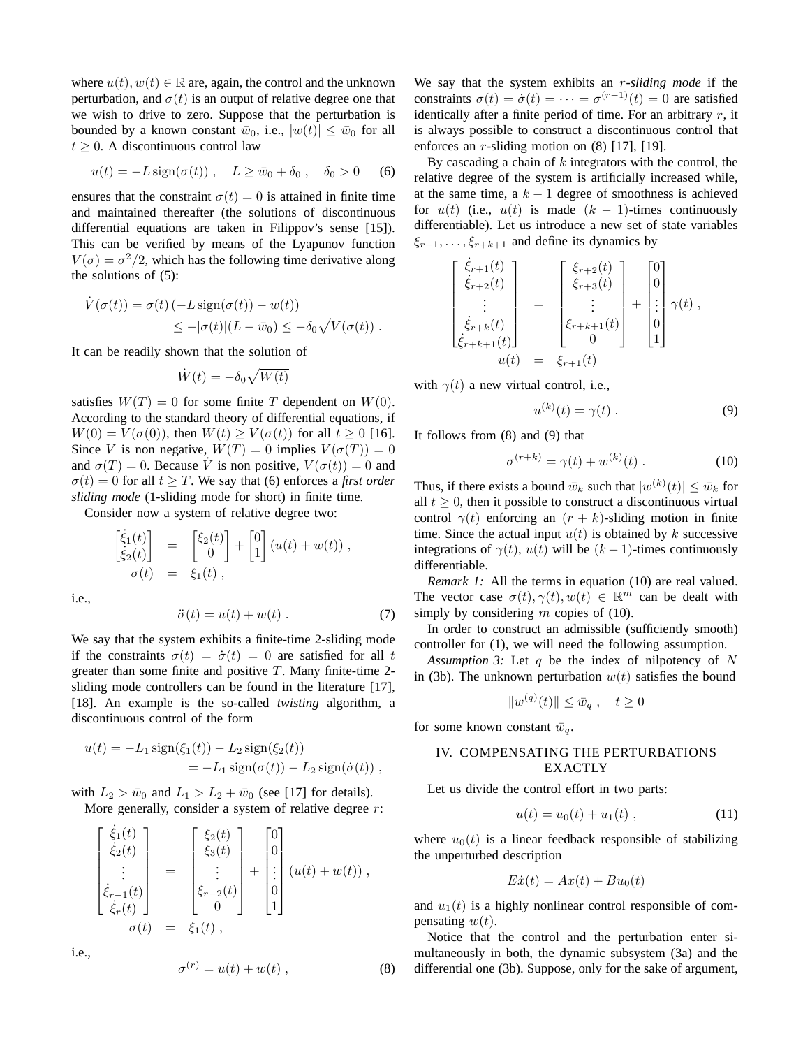where  $u(t)$ ,  $w(t) \in \mathbb{R}$  are, again, the control and the unknown perturbation, and  $\sigma(t)$  is an output of relative degree one that we wish to drive to zero. Suppose that the perturbation is bounded by a known constant  $\bar{w}_0$ , i.e.,  $|w(t)| \leq \bar{w}_0$  for all  $t \geq 0$ . A discontinuous control law

$$
u(t) = -L\operatorname{sign}(\sigma(t)), \quad L \ge \bar{w}_0 + \delta_0, \quad \delta_0 > 0 \quad (6)
$$

ensures that the constraint  $\sigma(t) = 0$  is attained in finite time and maintained thereafter (the solutions of discontinuous differential equations are taken in Filippov's sense [15]). This can be verified by means of the Lyapunov function  $V(\sigma) = \sigma^2/2$ , which has the following time derivative along the solutions of (5):

$$
\dot{V}(\sigma(t)) = \sigma(t) \left( -L \operatorname{sign}(\sigma(t)) - w(t) \right) \n\leq -|\sigma(t)|(L - \bar{w}_0) \leq -\delta_0 \sqrt{V(\sigma(t))} .
$$

It can be readily shown that the solution of

$$
\dot{W}(t) = -\delta_0 \sqrt{W(t)}
$$

satisfies  $W(T) = 0$  for some finite T dependent on  $W(0)$ . According to the standard theory of differential equations, if  $W(0) = V(\sigma(0))$ , then  $W(t) \ge V(\sigma(t))$  for all  $t \ge 0$  [16]. Since V is non negative,  $W(T) = 0$  implies  $V(\sigma(T)) = 0$ and  $\sigma(T) = 0$ . Because V is non positive,  $V(\sigma(t)) = 0$  and  $\sigma(t) = 0$  for all  $t \geq T$ . We say that (6) enforces a *first order sliding mode* (1-sliding mode for short) in finite time.

Consider now a system of relative degree two:

$$
\begin{bmatrix} \dot{\xi}_1(t) \\ \dot{\xi}_2(t) \end{bmatrix} = \begin{bmatrix} \xi_2(t) \\ 0 \end{bmatrix} + \begin{bmatrix} 0 \\ 1 \end{bmatrix} (u(t) + w(t)),
$$
  

$$
\sigma(t) = \xi_1(t),
$$

i.e.,

$$
\ddot{\sigma}(t) = u(t) + w(t) . \tag{7}
$$

We say that the system exhibits a finite-time 2-sliding mode if the constraints  $\sigma(t) = \dot{\sigma}(t) = 0$  are satisfied for all t greater than some finite and positive  $T$ . Many finite-time 2sliding mode controllers can be found in the literature [17], [18]. An example is the so-called *twisting* algorithm, a discontinuous control of the form

$$
u(t) = -L_1 \operatorname{sign}(\xi_1(t)) - L_2 \operatorname{sign}(\xi_2(t))
$$
  
= -L\_1 \operatorname{sign}(\sigma(t)) - L\_2 \operatorname{sign}(\dot{\sigma}(t)),

with  $L_2 > \bar{w}_0$  and  $L_1 > L_2 + \bar{w}_0$  (see [17] for details). More generally, consider a system of relative degree  $r$ :

$$
\begin{bmatrix} \dot{\xi}_{1}(t) \\ \dot{\xi}_{2}(t) \\ \vdots \\ \dot{\xi}_{r-1}(t) \\ \dot{\xi}_{r}(t) \\ \sigma(t) = \xi_{1}(t), \end{bmatrix} = \begin{bmatrix} \xi_{2}(t) \\ \xi_{3}(t) \\ \vdots \\ \xi_{r-2}(t) \\ 0 \end{bmatrix} + \begin{bmatrix} 0 \\ 0 \\ \vdots \\ 0 \\ 1 \end{bmatrix} (u(t) + w(t)),
$$

i.e.,

$$
\sigma^{(r)} = u(t) + w(t) , \qquad (8)
$$

We say that the system exhibits an r*-sliding mode* if the constraints  $\sigma(t) = \dot{\sigma}(t) = \cdots = \sigma^{(r-1)}(t) = 0$  are satisfied identically after a finite period of time. For an arbitrary  $r$ , it is always possible to construct a discontinuous control that enforces an  $r$ -sliding motion on  $(8)$  [17], [19].

By cascading a chain of  $k$  integrators with the control, the relative degree of the system is artificially increased while, at the same time, a  $k - 1$  degree of smoothness is achieved for  $u(t)$  (i.e.,  $u(t)$  is made  $(k - 1)$ -times continuously differentiable). Let us introduce a new set of state variables  $\xi_{r+1}, \ldots, \xi_{r+k+1}$  and define its dynamics by

$$
\begin{bmatrix}\n\xi_{r+1}(t) \\
\xi_{r+2}(t) \\
\vdots \\
\xi_{r+k}(t) \\
\xi_{r+k+1}(t)\n\end{bmatrix} = \begin{bmatrix}\n\xi_{r+2}(t) \\
\xi_{r+3}(t) \\
\vdots \\
\xi_{r+k+1}(t)\n\end{bmatrix} + \begin{bmatrix}\n0 \\
0 \\
\vdots \\
0 \\
1\n\end{bmatrix} \gamma(t),
$$
\n
$$
u(t) = \xi_{r+1}(t)
$$

with  $\gamma(t)$  a new virtual control, i.e.,

$$
u^{(k)}(t) = \gamma(t) . \tag{9}
$$

It follows from (8) and (9) that

$$
\sigma^{(r+k)} = \gamma(t) + w^{(k)}(t) . \tag{10}
$$

Thus, if there exists a bound  $\bar{w}_k$  such that  $|w^{(k)}(t)| \leq \bar{w}_k$  for all  $t \geq 0$ , then it possible to construct a discontinuous virtual control  $\gamma(t)$  enforcing an  $(r + k)$ -sliding motion in finite time. Since the actual input  $u(t)$  is obtained by k successive integrations of  $\gamma(t)$ ,  $u(t)$  will be  $(k-1)$ -times continuously differentiable.

*Remark 1:* All the terms in equation (10) are real valued. The vector case  $\sigma(t)$ ,  $\gamma(t)$ ,  $w(t) \in \mathbb{R}^m$  can be dealt with simply by considering  $m$  copies of (10).

In order to construct an admissible (sufficiently smooth) controller for (1), we will need the following assumption.

Assumption 3: Let  $q$  be the index of nilpotency of  $N$ in (3b). The unknown perturbation  $w(t)$  satisfies the bound

$$
||w^{(q)}(t)|| \le \bar{w}_q , \quad t \ge 0
$$

for some known constant  $\bar{w}_q$ .

## IV. COMPENSATING THE PERTURBATIONS **EXACTLY**

Let us divide the control effort in two parts:

$$
u(t) = u_0(t) + u_1(t) , \qquad (11)
$$

where  $u_0(t)$  is a linear feedback responsible of stabilizing the unperturbed description

$$
E\dot{x}(t) = Ax(t) + Bu_0(t)
$$

and  $u_1(t)$  is a highly nonlinear control responsible of compensating  $w(t)$ .

Notice that the control and the perturbation enter simultaneously in both, the dynamic subsystem (3a) and the differential one (3b). Suppose, only for the sake of argument,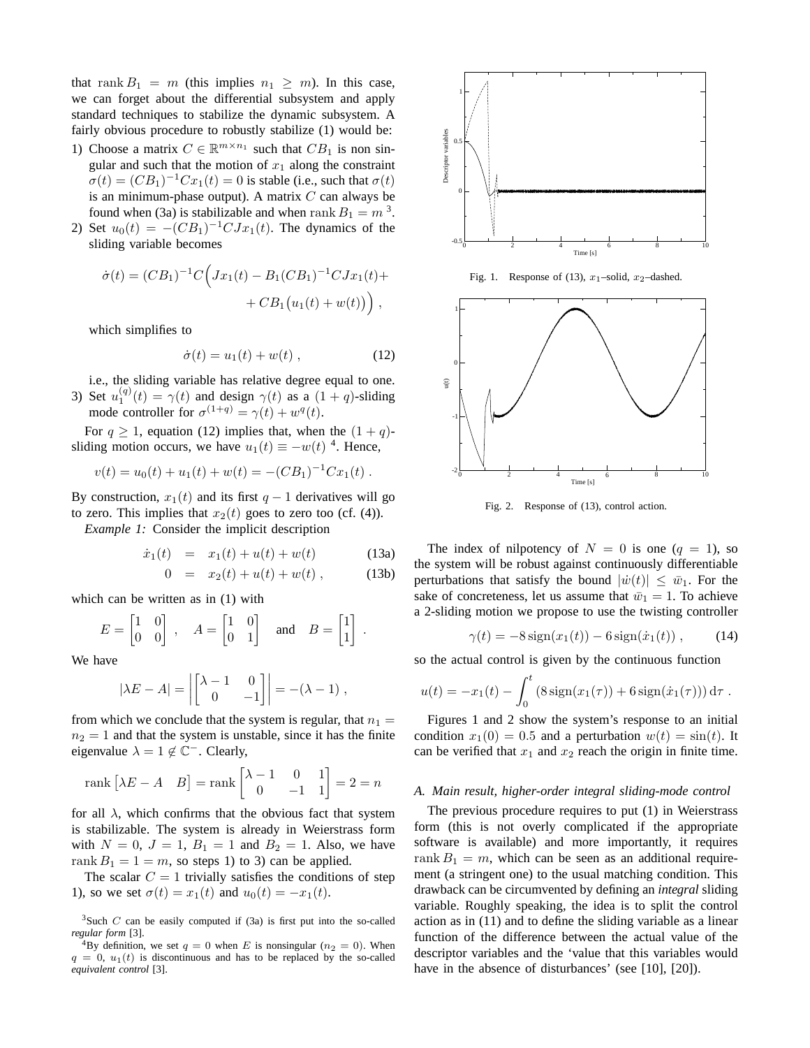that rank  $B_1 = m$  (this implies  $n_1 \geq m$ ). In this case, we can forget about the differential subsystem and apply standard techniques to stabilize the dynamic subsystem. A fairly obvious procedure to robustly stabilize (1) would be:

- 1) Choose a matrix  $C \in \mathbb{R}^{m \times n_1}$  such that  $CB_1$  is non singular and such that the motion of  $x_1$  along the constraint  $\sigma(t) = (CB_1)^{-1}Cx_1(t) = 0$  is stable (i.e., such that  $\sigma(t)$ ) is an minimum-phase output). A matrix  $C$  can always be found when (3a) is stabilizable and when rank  $B_1 = m^3$ .
- 2) Set  $u_0(t) = -(CB_1)^{-1}CJx_1(t)$ . The dynamics of the sliding variable becomes

$$
\dot{\sigma}(t) = (CB_1)^{-1}C\Big(Jx_1(t) - B_1(CB_1)^{-1}CJx_1(t) +
$$
  
+ CB<sub>1</sub> $(u_1(t) + w(t))$ ,

which simplifies to

$$
\dot{\sigma}(t) = u_1(t) + w(t) , \qquad (12)
$$

i.e., the sliding variable has relative degree equal to one. 3) Set  $u_1^{(q)}(t) = \gamma(t)$  and design  $\gamma(t)$  as a  $(1 + q)$ -sliding mode controller for  $\sigma^{(1+q)} = \gamma(t) + w^q(t)$ .

For  $q \ge 1$ , equation (12) implies that, when the  $(1 + q)$ sliding motion occurs, we have  $u_1(t) \equiv -w(t)$ <sup>4</sup>. Hence,

$$
v(t) = u_0(t) + u_1(t) + w(t) = -(CB_1)^{-1}Cx_1(t).
$$

By construction,  $x_1(t)$  and its first  $q - 1$  derivatives will go to zero. This implies that  $x_2(t)$  goes to zero too (cf. (4)).

*Example 1:* Consider the implicit description

$$
\dot{x}_1(t) = x_1(t) + u(t) + w(t) \tag{13a}
$$

$$
0 = x_2(t) + u(t) + w(t) , \t(13b)
$$

which can be written as in  $(1)$  with

$$
E = \begin{bmatrix} 1 & 0 \\ 0 & 0 \end{bmatrix}, \quad A = \begin{bmatrix} 1 & 0 \\ 0 & 1 \end{bmatrix} \quad \text{and} \quad B = \begin{bmatrix} 1 \\ 1 \end{bmatrix}.
$$

We have

$$
|\lambda E - A| = \begin{bmatrix} \lambda - 1 & 0 \\ 0 & -1 \end{bmatrix} = -(\lambda - 1) ,
$$

from which we conclude that the system is regular, that  $n_1 =$  $n_2 = 1$  and that the system is unstable, since it has the finite eigenvalue  $\lambda = 1 \notin \mathbb{C}^-$ . Clearly,

rank 
$$
\begin{bmatrix} \lambda E - A & B \end{bmatrix}
$$
 = rank  $\begin{bmatrix} \lambda - 1 & 0 & 1 \\ 0 & -1 & 1 \end{bmatrix}$  = 2 = n

for all  $\lambda$ , which confirms that the obvious fact that system is stabilizable. The system is already in Weierstrass form with  $N = 0$ ,  $J = 1$ ,  $B_1 = 1$  and  $B_2 = 1$ . Also, we have rank  $B_1 = 1 = m$ , so steps 1) to 3) can be applied.

The scalar  $C = 1$  trivially satisfies the conditions of step 1), so we set  $\sigma(t) = x_1(t)$  and  $u_0(t) = -x_1(t)$ .



Fig. 1. Response of (13),  $x_1$ -solid,  $x_2$ -dashed.



Fig. 2. Response of (13), control action.

The index of nilpotency of  $N = 0$  is one  $(q = 1)$ , so the system will be robust against continuously differentiable perturbations that satisfy the bound  $|\dot{w}(t)| \leq \bar{w}_1$ . For the sake of concreteness, let us assume that  $\bar{w}_1 = 1$ . To achieve a 2-sliding motion we propose to use the twisting controller

$$
\gamma(t) = -8\,\text{sign}(x_1(t)) - 6\,\text{sign}(\dot{x}_1(t))\,,\tag{14}
$$

so the actual control is given by the continuous function

$$
u(t) = -x_1(t) - \int_0^t (8 \operatorname{sign}(x_1(\tau)) + 6 \operatorname{sign}(\dot{x}_1(\tau))) d\tau.
$$

Figures 1 and 2 show the system's response to an initial condition  $x_1(0) = 0.5$  and a perturbation  $w(t) = \sin(t)$ . It can be verified that  $x_1$  and  $x_2$  reach the origin in finite time.

#### *A. Main result, higher-order integral sliding-mode control*

The previous procedure requires to put (1) in Weierstrass form (this is not overly complicated if the appropriate software is available) and more importantly, it requires rank  $B_1 = m$ , which can be seen as an additional requirement (a stringent one) to the usual matching condition. This drawback can be circumvented by defining an *integral* sliding variable. Roughly speaking, the idea is to split the control action as in (11) and to define the sliding variable as a linear function of the difference between the actual value of the descriptor variables and the 'value that this variables would have in the absence of disturbances' (see [10], [20]).

 $3$ Such  $C$  can be easily computed if (3a) is first put into the so-called *regular form* [3].

<sup>&</sup>lt;sup>4</sup>By definition, we set  $q = 0$  when E is nonsingular ( $n_2 = 0$ ). When  $q = 0$ ,  $u_1(t)$  is discontinuous and has to be replaced by the so-called *equivalent control* [3].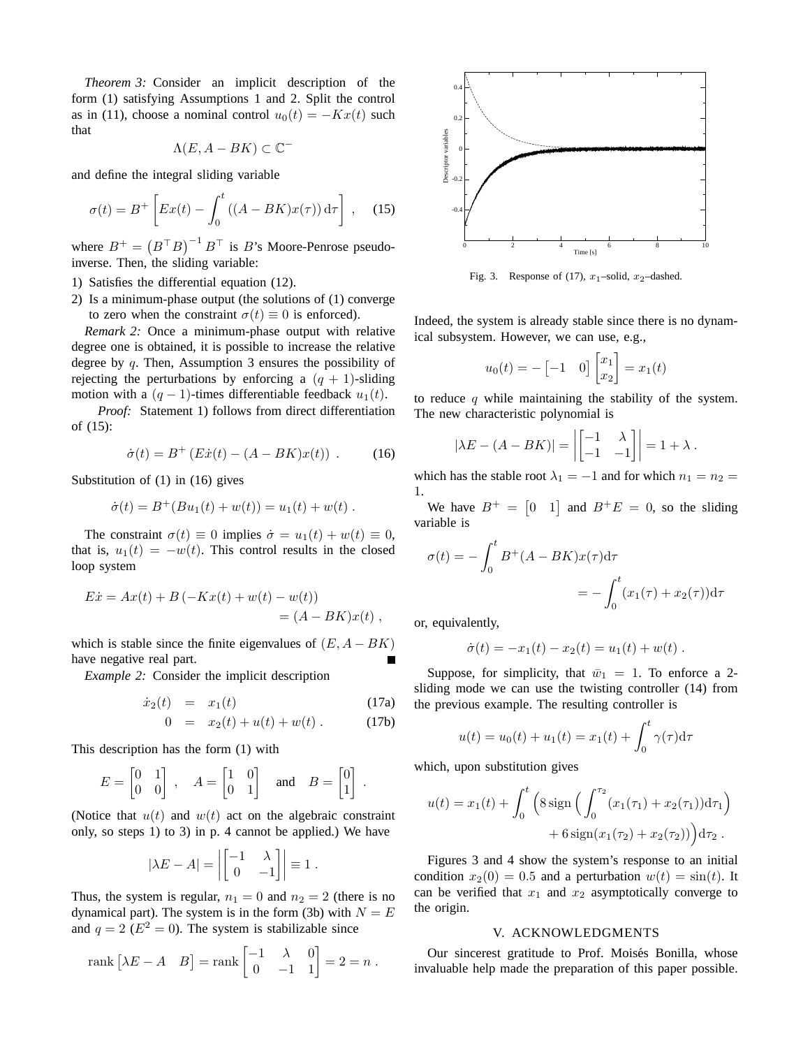*Theorem 3:* Consider an implicit description of the form (1) satisfying Assumptions 1 and 2. Split the control as in (11), choose a nominal control  $u_0(t) = -Kx(t)$  such that

$$
\Lambda(E, A - BK) \subset \mathbb{C}^-
$$

and define the integral sliding variable

$$
\sigma(t) = B^+ \left[ Ex(t) - \int_0^t \left( (A - BK)x(\tau) \right) d\tau \right], \quad (15)
$$

where  $B^+ = (B^{\top}B)^{-1}B^{\top}$  is B's Moore-Penrose pseudoinverse. Then, the sliding variable:

- 1) Satisfies the differential equation (12).
- 2) Is a minimum-phase output (the solutions of (1) converge to zero when the constraint  $\sigma(t) \equiv 0$  is enforced).

*Remark 2:* Once a minimum-phase output with relative degree one is obtained, it is possible to increase the relative degree by q. Then, Assumption 3 ensures the possibility of rejecting the perturbations by enforcing a  $(q + 1)$ -sliding motion with a  $(q - 1)$ -times differentiable feedback  $u_1(t)$ .

*Proof:* Statement 1) follows from direct differentiation of (15):

$$
\dot{\sigma}(t) = B^{+} (E\dot{x}(t) - (A - BK)x(t)) .
$$
 (16)

Substitution of (1) in (16) gives

$$
\dot{\sigma}(t) = B^{+}(Bu_1(t) + w(t)) = u_1(t) + w(t) .
$$

The constraint  $\sigma(t) \equiv 0$  implies  $\dot{\sigma} = u_1(t) + w(t) \equiv 0$ , that is,  $u_1(t) = -w(t)$ . This control results in the closed loop system

$$
E\dot{x} = Ax(t) + B(-Kx(t) + w(t) - w(t))
$$
  
= (A - BK)x(t),

which is stable since the finite eigenvalues of  $(E, A - BK)$ have negative real part.

*Example 2:* Consider the implicit description

$$
\dot{x}_2(t) = x_1(t) \tag{17a}
$$

$$
0 = x_2(t) + u(t) + w(t) . \qquad (17b)
$$

This description has the form (1) with

$$
E = \begin{bmatrix} 0 & 1 \\ 0 & 0 \end{bmatrix}, \quad A = \begin{bmatrix} 1 & 0 \\ 0 & 1 \end{bmatrix} \quad \text{and} \quad B = \begin{bmatrix} 0 \\ 1 \end{bmatrix}.
$$

(Notice that  $u(t)$  and  $w(t)$  act on the algebraic constraint only, so steps 1) to 3) in p. 4 cannot be applied.) We have

$$
|\lambda E - A| = \left| \begin{bmatrix} -1 & \lambda \\ 0 & -1 \end{bmatrix} \right| \equiv 1 \, .
$$

Thus, the system is regular,  $n_1 = 0$  and  $n_2 = 2$  (there is no dynamical part). The system is in the form (3b) with  $N = E$ and  $q = 2$  ( $E^2 = 0$ ). The system is stabilizable since

rank 
$$
\begin{bmatrix} \lambda E - A & B \end{bmatrix}
$$
 = rank  $\begin{bmatrix} -1 & \lambda & 0 \\ 0 & -1 & 1 \end{bmatrix}$  = 2 = n.



Fig. 3. Response of (17),  $x_1$ -solid,  $x_2$ -dashed.

Indeed, the system is already stable since there is no dynamical subsystem. However, we can use, e.g.,

$$
u_0(t) = -\begin{bmatrix} -1 & 0 \end{bmatrix} \begin{bmatrix} x_1 \\ x_2 \end{bmatrix} = x_1(t)
$$

to reduce  $q$  while maintaining the stability of the system. The new characteristic polynomial is

$$
|\lambda E - (A - BK)| = \left| \begin{bmatrix} -1 & \lambda \\ -1 & -1 \end{bmatrix} \right| = 1 + \lambda.
$$

which has the stable root  $\lambda_1 = -1$  and for which  $n_1 = n_2 =$ 1.

We have  $B^+ = \begin{bmatrix} 0 & 1 \end{bmatrix}$  and  $B^+E = 0$ , so the sliding variable is

$$
\sigma(t) = -\int_0^t B^+(A - BK)x(\tau)d\tau
$$

$$
= -\int_0^t (x_1(\tau) + x_2(\tau))d\tau
$$

or, equivalently,

$$
\dot{\sigma}(t) = -x_1(t) - x_2(t) = u_1(t) + w(t) .
$$

Suppose, for simplicity, that  $\bar{w}_1 = 1$ . To enforce a 2sliding mode we can use the twisting controller (14) from the previous example. The resulting controller is

$$
u(t) = u_0(t) + u_1(t) = x_1(t) + \int_0^t \gamma(\tau) d\tau
$$

which, upon substitution gives

$$
u(t) = x_1(t) + \int_0^t \left( 8 \operatorname{sign} \left( \int_0^{\tau_2} (x_1(\tau_1) + x_2(\tau_1)) \mathrm{d}\tau_1 \right) + 6 \operatorname{sign}(x_1(\tau_2) + x_2(\tau_2)) \right) \mathrm{d}\tau_2.
$$

Figures 3 and 4 show the system's response to an initial condition  $x_2(0) = 0.5$  and a perturbation  $w(t) = \sin(t)$ . It can be verified that  $x_1$  and  $x_2$  asymptotically converge to the origin.

#### V. ACKNOWLEDGMENTS

Our sincerest gratitude to Prof. Moisés Bonilla, whose invaluable help made the preparation of this paper possible.